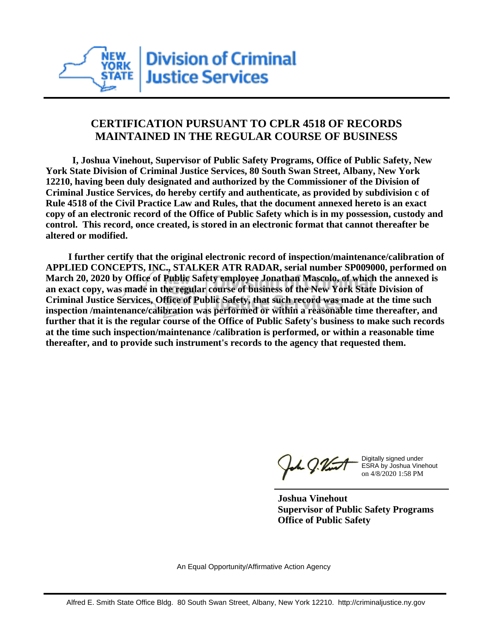

## **CERTIFICATION PURSUANT TO CPLR 4518 OF RECORDS MAINTAINED IN THE REGULAR COURSE OF BUSINESS**

 **I, Joshua Vinehout, Supervisor of Public Safety Programs, Office of Public Safety, New York State Division of Criminal Justice Services, 80 South Swan Street, Albany, New York 12210, having been duly designated and authorized by the Commissioner of the Division of Criminal Justice Services, do hereby certify and authenticate, as provided by subdivision c of Rule 4518 of the Civil Practice Law and Rules, that the document annexed hereto is an exact copy of an electronic record of the Office of Public Safety which is in my possession, custody and control. This record, once created, is stored in an electronic format that cannot thereafter be altered or modified.**

 **I further certify that the original electronic record of inspection/maintenance/calibration of APPLIED CONCEPTS, INC., STALKER ATR RADAR, serial number SP009000, performed on March 20, 2020 by Office of Public Safety employee Jonathan Mascolo, of which the annexed is an exact copy, was made in the regular course of business of the New York State Division of Criminal Justice Services, Office of Public Safety, that such record was made at the time such inspection /maintenance/calibration was performed or within a reasonable time thereafter, and further that it is the regular course of the Office of Public Safety's business to make such records at the time such inspection/maintenance /calibration is performed, or within a reasonable time thereafter, and to provide such instrument's records to the agency that requested them.**

h J.Vint

Digitally signed under ESRA by Joshua Vinehout on 4/8/2020 1:58 PM

**Joshua Vinehout Supervisor of Public Safety Programs Office of Public Safety**

An Equal Opportunity/Affirmative Action Agency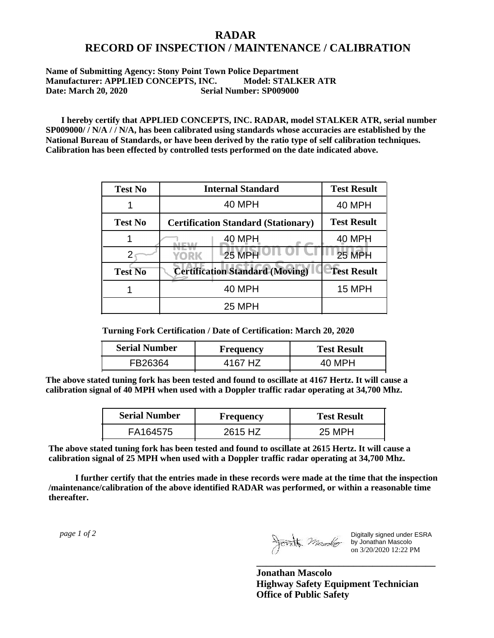## **RADAR RECORD OF INSPECTION / MAINTENANCE / CALIBRATION**

## **Name of Submitting Agency: Stony Point Town Police Department Manufacturer: APPLIED CONCEPTS, INC. Model: STALKER ATR Date: March 20, 2020 Serial Number: SP009000**

 **I hereby certify that APPLIED CONCEPTS, INC. RADAR, model STALKER ATR, serial number SP009000/ / N/A / / N/A, has been calibrated using standards whose accuracies are established by the National Bureau of Standards, or have been derived by the ratio type of self calibration techniques. Calibration has been effected by controlled tests performed on the date indicated above.**

| <b>Test No</b> | <b>Internal Standard</b>                   | <b>Test Result</b> |
|----------------|--------------------------------------------|--------------------|
|                | 40 MPH                                     | <b>40 MPH</b>      |
| <b>Test No</b> | <b>Certification Standard (Stationary)</b> | <b>Test Result</b> |
|                | 40 MPH                                     | 40 MPH             |
|                | 25 MPH<br>YORK                             | <b>25 MPH</b>      |
| <b>Test No</b> | <b>Certification Standard (Moving)</b>     | <b>Test Result</b> |
|                | <b>40 MPH</b>                              | <b>15 MPH</b>      |
|                | <b>25 MPH</b>                              |                    |

**Turning Fork Certification / Date of Certification: March 20, 2020**

| <b>Serial Number</b> | Frequency | <b>Test Result</b> |
|----------------------|-----------|--------------------|
| FB26364              | 4167 HZ   | 40 MPH             |

**The above stated tuning fork has been tested and found to oscillate at 4167 Hertz. It will cause a calibration signal of 40 MPH when used with a Doppler traffic radar operating at 34,700 Mhz.**

| <b>Serial Number</b> | Frequency | <b>Test Result</b> |
|----------------------|-----------|--------------------|
| FA164575             | 2615 HZ   | 25 MPH             |

**The above stated tuning fork has been tested and found to oscillate at 2615 Hertz. It will cause a calibration signal of 25 MPH when used with a Doppler traffic radar operating at 34,700 Mhz.**

 **I further certify that the entries made in these records were made at the time that the inspection /maintenance/calibration of the above identified RADAR was performed, or within a reasonable time thereafter.**

 *page 1 of 2* 

Digitally signed under ESRA by Jonathan Mascolo on 3/20/2020 12:22 PM

**Jonathan Mascolo Highway Safety Equipment Technician Office of Public Safety**

**\_\_\_\_\_\_\_\_\_\_\_\_\_\_\_\_\_\_\_\_\_\_\_\_\_\_\_\_\_\_\_\_\_\_\_\_\_**